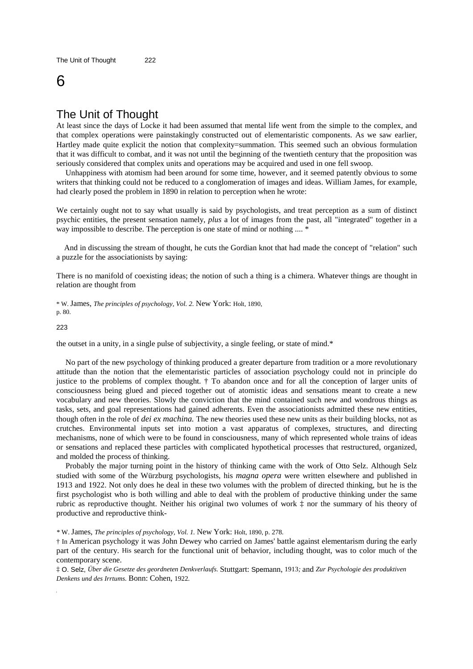# 6

## The Unit of Thought

At least since the days of Locke it had been assumed that mental life went from the simple to the complex, and that complex operations were painstakingly constructed out of elementaristic components. As we saw earlier, Hartley made quite explicit the notion that complexity=summation. This seemed such an obvious formulation that it was difficult to combat, and it was not until the beginning of the twentieth century that the proposition was seriously considered that complex units and operations may be acquired and used in one fell swoop.

Unhappiness with atomism had been around for some time, however, and it seemed patently obvious to some writers that thinking could not be reduced to a conglomeration of images and ideas. William James, for example, had clearly posed the problem in 1890 in relation to perception when he wrote:

We certainly ought not to say what usually is said by psychologists, and treat perception as a sum of distinct psychic entities, the present sensation namely, *plus* a lot of images from the past, all "integrated" together in a way impossible to describe. The perception is one state of mind or nothing ....  $*$ 

And in discussing the stream of thought, he cuts the Gordian knot that had made the concept of "relation" such a puzzle for the associationists by saying:

There is no manifold of coexisting ideas; the notion of such a thing is a chimera. Whatever things are thought in relation are thought from

\* W. James, *The principles of psychology, Vol. 2.* New York: Holt, 1890, p. 80.

223

the outset in a unity, in a single pulse of subjectivity, a single feeling, or state of mind.\*

No part of the new psychology of thinking produced a greater departure from tradition or a more revolutionary attitude than the notion that the elementaristic particles of association psychology could not in principle do justice to the problems of complex thought. † To abandon once and for all the conception of larger units of consciousness being glued and pieced together out of atomistic ideas and sensations meant to create a new vocabulary and new theories. Slowly the conviction that the mind contained such new and wondrous things as tasks, sets, and goal representations had gained adherents. Even the associationists admitted these new entities, though often in the role of *dei ex machina.* The new theories used these new units as their building blocks, not as crutches. Environmental inputs set into motion a vast apparatus of complexes, structures, and directing mechanisms, none of which were to be found in consciousness, many of which represented whole trains of ideas or sensations and replaced these particles with complicated hypothetical processes that restructured, organized, and molded the process of thinking.

Probably the major turning point in the history of thinking came with the work of Otto Selz. Although Selz studied with some of the Würzburg psychologists, his *magna opera* were written elsewhere and published in 1913 and 1922. Not only does he deal in these two volumes with the problem of directed thinking, but he is the first psychologist who is both willing and able to deal with the problem of productive thinking under the same rubric as reproductive thought. Neither his original two volumes of work ‡ nor the summary of his theory of productive and reproductive think-

*\** W. James, *The principles of psychology, Vol. 1.* New York: Holt, 1890, p. 278*.*

† In American psychology it was John Dewey who carried on James' battle against elementarism during the early part of the century. His search for the functional unit of behavior, including thought, was to color much of the contemporary scene.

‡ O. Selz, *Über die Gesetze des geordneten Denkverlaufs.* Stuttgart: Spemann, 1913*;* and *Zur Psychologie des produktiven Denkens und des Irrtums.* Bonn: Cohen, 1922*.*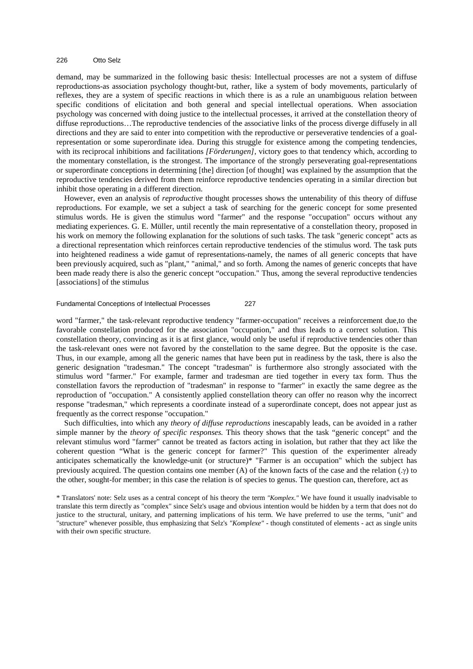demand, may be summarized in the following basic thesis: Intellectual processes are not a system of diffuse reproductions-as association psychology thought-but, rather, like a system of body movements, particularly of reflexes, they are a system of specific reactions in which there is as a rule an unambiguous relation between specific conditions of elicitation and both general and special intellectual operations. When association psychology was concerned with doing justice to the intellectual processes, it arrived at the constellation theory of diffuse reproductions…The reproductive tendencies of the associative links of the process diverge diffusely in all directions and they are said to enter into competition with the reproductive or perseverative tendencies of a goalrepresentation or some superordinate idea. During this struggle for existence among the competing tendencies, with its reciprocal inhibitions and facilitations *[Förderungen],* victory goes to that tendency which, according to the momentary constellation, is the strongest. The importance of the strongly perseverating goal-representations or superordinate conceptions in determining [the] direction [of thought] was explained by the assumption that the reproductive tendencies derived from them reinforce reproductive tendencies operating in a similar direction but inhibit those operating in a different direction.

However, even an analysis of *reproductive* thought processes shows the untenability of this theory of diffuse reproductions. For example, we set a subject a task of searching for the generic concept for some presented stimulus words. He is given the stimulus word "farmer" and the response "occupation" occurs without any mediating experiences. G. E. Müller, until recently the main representative of a constellation theory, proposed in his work on memory the following explanation for the solutions of such tasks. The task "generic concept" acts as a directional representation which reinforces certain reproductive tendencies of the stimulus word. The task puts into heightened readiness a wide gamut of representations-namely, the names of all generic concepts that have been previously acquired, such as "plant," "animal," and so forth. Among the names of generic concepts that have been made ready there is also the generic concept "occupation." Thus, among the several reproductive tendencies [associations] of the stimulus

## Fundamental Conceptions of Intellectual Processes 227

word "farmer," the task-relevant reproductive tendency "farmer-occupation" receives a reinforcement due,to the favorable constellation produced for the association "occupation," and thus leads to a correct solution. This constellation theory, convincing as it is at first glance, would only be useful if reproductive tendencies other than the task-relevant ones were not favored by the constellation to the same degree. But the opposite is the case. Thus, in our example, among all the generic names that have been put in readiness by the task, there is also the generic designation "tradesman." The concept "tradesman" is furthermore also strongly associated with the stimulus word "farmer." For example, farmer and tradesman are tied together in every tax form. Thus the constellation favors the reproduction of "tradesman" in response to "farmer" in exactly the same degree as the reproduction of "occupation." A consistently applied constellation theory can offer no reason why the incorrect response "tradesman," which represents a coordinate instead of a superordinate concept, does not appear just as frequently as the correct response "occupation."

Such difficulties, into which any *theory of diffuse reproductions* inescapably leads, can be avoided in a rather simple manner by the *theory of specific responses.* This theory shows that the task "generic concept" and the relevant stimulus word "farmer" cannot be treated as factors acting in isolation, but rather that they act like the coherent question "What is the generic concept for farmer?" This question of the experimenter already anticipates schematically the knowledge-unit (or structure)\* "Farmer is an occupation" which the subject has previously acquired. The question contains one member (A) of the known facts of the case and the relation ( $\gamma$ ) to the other, sought-for member; in this case the relation is of species to genus. The question can, therefore, act as

\* Translators' note: Selz uses as a central concept of his theory the term *"Komplex."* We have found it usually inadvisable to translate this term directly as "complex" since Selz's usage and obvious intention would be hidden by a term that does not do justice to the structural, unitary, and patterning implications of his term. We have preferred to use the terms, "unit" and "structure" whenever possible, thus emphasizing that Selz's *"Komplexe"* - though constituted of elements - act as single units with their own specific structure.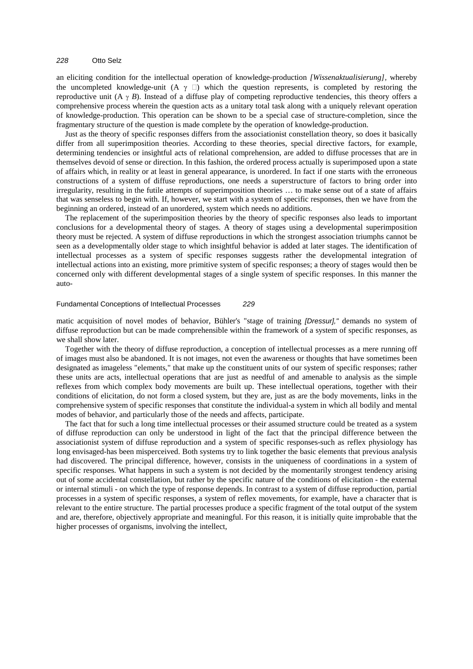an eliciting condition for the intellectual operation of knowledge-production *[Wissenaktualisierung],* whereby the uncompleted knowledge-unit (A  $\gamma$  ") which the question represents, is completed by restoring the reproductive unit  $(A \gamma B)$ . Instead of a diffuse play of competing reproductive tendencies, this theory offers a comprehensive process wherein the question acts as a unitary total task along with a uniquely relevant operation of knowledge-production. This operation can be shown to be a special case of structure-completion, since the fragmentary structure of the question is made complete by the operation of knowledge-production.

Just as the theory of specific responses differs from the associationist constellation theory, so does it basically differ from all superimposition theories. According to these theories, special directive factors, for example, determining tendencies or insightful acts of relational comprehension, are added to diffuse processes that are in themselves devoid of sense or direction. In this fashion, the ordered process actually is superimposed upon a state of affairs which, in reality or at least in general appearance, is unordered. In fact if one starts with the erroneous constructions of a system of diffuse reproductions, one needs a superstructure of factors to bring order into irregularity, resulting in the futile attempts of superimposition theories … to make sense out of a state of affairs that was senseless to begin with. If, however, we start with a system of specific responses, then we have from the beginning an ordered, instead of an unordered, system which needs no additions.

The replacement of the superimposition theories by the theory of specific responses also leads to important conclusions for a developmental theory of stages. A theory of stages using a developmental superimposition theory must be rejected. A system of diffuse reproductions in which the strongest association triumphs cannot be seen as a developmentally older stage to which insightful behavior is added at later stages. The identification of intellectual processes as a system of specific responses suggests rather the developmental integration of intellectual actions into an existing, more primitive system of specific responses; a theory of stages would then be concerned only with different developmental stages of a single system of specific responses. In this manner the auto-

## Fundamental Conceptions of Intellectual Processes *229*

matic acquisition of novel modes of behavior, Bühler's "stage of training *[Dressur],"* demands no system of diffuse reproduction but can be made comprehensible within the framework of a system of specific responses, as we shall show later.

Together with the theory of diffuse reproduction, a conception of intellectual processes as a mere running off of images must also be abandoned. It is not images, not even the awareness or thoughts that have sometimes been designated as imageless "elements," that make up the constituent units of our system of specific responses; rather these units are acts, intellectual operations that are just as needful of and amenable to analysis as the simple reflexes from which complex body movements are built up. These intellectual operations, together with their conditions of elicitation, do not form a closed system, but they are, just as are the body movements, links in the comprehensive system of specific responses that constitute the individual-a system in which all bodily and mental modes of behavior, and particularly those of the needs and affects, participate.

The fact that for such a long time intellectual processes or their assumed structure could be treated as a system of diffuse reproduction can only be understood in light of the fact that the principal difference between the associationist system of diffuse reproduction and a system of specific responses-such as reflex physiology has long envisaged-has been misperceived. Both systems try to link together the basic elements that previous analysis had discovered. The principal difference, however, consists in the uniqueness of coordinations in a system of specific responses. What happens in such a system is not decided by the momentarily strongest tendency arising out of some accidental constellation, but rather by the specific nature of the conditions of elicitation - the external or internal stimuli - on which the type of response depends. In contrast to a system of diffuse reproduction, partial processes in a system of specific responses, a system of reflex movements, for example, have a character that is relevant to the entire structure. The partial processes produce a specific fragment of the total output of the system and are, therefore, objectively appropriate and meaningful. For this reason, it is initially quite improbable that the higher processes of organisms, involving the intellect,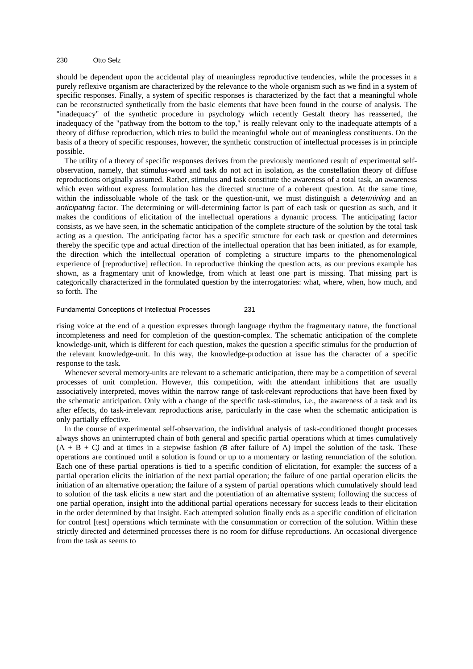should be dependent upon the accidental play of meaningless reproductive tendencies, while the processes in a purely reflexive organism are characterized by the relevance to the whole organism such as we find in a system of specific responses. Finally, a system of specific responses is characterized by the fact that a meaningful whole can be reconstructed synthetically from the basic elements that have been found in the course of analysis. The "inadequacy" of the synthetic procedure in psychology which recently Gestalt theory has reasserted, the inadequacy of the "pathway from the bottom to the top," is really relevant only to the inadequate attempts of a theory of diffuse reproduction, which tries to build the meaningful whole out of meaningless constituents. On the basis of a theory of specific responses, however, the synthetic construction of intellectual processes is in principle possible.

The utility of a theory of specific responses derives from the previously mentioned result of experimental selfobservation, namely, that stimulus-word and task do not act in isolation, as the constellation theory of diffuse reproductions originally assumed. Rather, stimulus and task constitute the awareness of a total task, an awareness which even without express formulation has the directed structure of a coherent question. At the same time, within the indissoluable whole of the task or the question-unit, we must distinguish a *determining* and an *anticipating* factor. The determining or will-determining factor is part of each task or question as such, and it makes the conditions of elicitation of the intellectual operations a dynamic process. The anticipating factor consists, as we have seen, in the schematic anticipation of the complete structure of the solution by the total task acting as a question. The anticipating factor has a specific structure for each task or question and determines thereby the specific type and actual direction of the intellectual operation that has been initiated, as for example, the direction which the intellectual operation of completing a structure imparts to the phenomenological experience of [reproductive] reflection. In reproductive thinking the question acts, as our previous example has shown, as a fragmentary unit of knowledge, from which at least one part is missing. That missing part is categorically characterized in the formulated question by the interrogatories: what, where, when, how much, and so forth. The

## Fundamental Conceptions of Intellectual Processes 231

rising voice at the end of a question expresses through language rhythm the fragmentary nature, the functional incompleteness and need for completion of the question-complex. The schematic anticipation of the complete knowledge-unit, which is different for each question, makes the question a specific stimulus for the production of the relevant knowledge-unit. In this way, the knowledge-production at issue has the character of a specific response to the task.

Whenever several memory-units are relevant to a schematic anticipation, there may be a competition of several processes of unit completion. However, this competition, with the attendant inhibitions that are usually associatively interpreted, moves within the narrow range of task-relevant reproductions that have been fixed by the schematic anticipation. Only with a change of the specific task-stimulus, i.e., the awareness of a task and its after effects, do task-irrelevant reproductions arise, particularly in the case when the schematic anticipation is only partially effective.

In the course of experimental self-observation, the individual analysis of task-conditioned thought processes always shows an uninterrupted chain of both general and specific partial operations which at times cumulatively  $(A + B + C)$  and at times in a stepwise fashion *(B* after failure of A) impel the solution of the task. These operations are continued until a solution is found or up to a momentary or lasting renunciation of the solution. Each one of these partial operations is tied to a specific condition of elicitation, for example: the success of a partial operation elicits the initiation of the next partial operation; the failure of one partial operation elicits the initiation of an alternative operation; the failure of a system of partial operations which cumulatively should lead to solution of the task elicits a new start and the potentiation of an alternative system; following the success of one partial operation, insight into the additional partial operations necessary for success leads to their elicitation in the order determined by that insight. Each attempted solution finally ends as a specific condition of elicitation for control [test] operations which terminate with the consummation or correction of the solution. Within these strictly directed and determined processes there is no room for diffuse reproductions. An occasional divergence from the task as seems to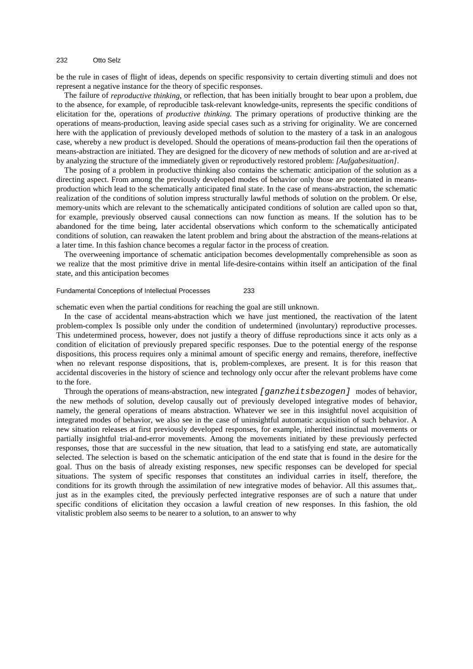be the rule in cases of flight of ideas, depends on specific responsivity to certain diverting stimuli and does not represent a negative instance for the theory of specific responses.

The failure of *reproductive thinking,* or reflection, that has been initially brought to bear upon a problem, due to the absence, for example, of reproducible task-relevant knowledge-units, represents the specific conditions of elicitation for the, operations of *productive thinking.* The primary operations of productive thinking are the operations of means-production, leaving aside special cases such as a striving for originality. We are concerned here with the application of previously developed methods of solution to the mastery of a task in an analogous case, whereby a new product is developed. Should the operations of means-production fail then the operations of means-abstraction are initiated. They are designed for the dicovery of new methods of solution and are ar-rived at by analyzing the structure of the immediately given or reproductively restored problem: *[Aufgabesituation].*

The posing of a problem in productive thinking also contains the schematic anticipation of the solution as a directing aspect. From among the previously developed modes of behavior only those are potentiated in meansproduction which lead to the schematically anticipated final state. In the case of means-abstraction, the schematic realization of the conditions of solution impress structurally lawful methods of solution on the problem. Or else, memory-units which are relevant to the schematically anticipated conditions of solution are called upon so that, for example, previously observed causal connections can now function as means. If the solution has to be abandoned for the time being, later accidental observations which conform to the schematically anticipated conditions of solution, can reawaken the latent problem and bring about the abstraction of the means-relations at a later time. In this fashion chance becomes a regular factor in the process of creation.

The overweening importance of schematic anticipation becomes developmentally comprehensible as soon as we realize that the most primitive drive in mental life-desire-contains within itself an anticipation of the final state, and this anticipation becomes

## Fundamental Conceptions of Intellectual Processes 233

schematic even when the partial conditions for reaching the goal are still unknown.

In the case of accidental means-abstraction which we have just mentioned, the reactivation of the latent problem-complex Is possible only under the condition of undetermined (involuntary) reproductive processes. This undetermined process, however, does not justify a theory of diffuse reproductions since it acts only as a condition of elicitation of previously prepared specific responses. Due to the potential energy of the response dispositions, this process requires only a minimal amount of specific energy and remains, therefore, ineffective when no relevant response dispositions, that is, problem-complexes, are present. It is for this reason that accidental discoveries in the history of science and technology only occur after the relevant problems have come to the fore.

Through the operations of means-abstraction, new integrated *[ganzheitsbezogen]* modes of behavior, the new methods of solution, develop causally out of previously developed integrative modes of behavior, namely, the general operations of means abstraction. Whatever we see in this insightful novel acquisition of integrated modes of behavior, we also see in the case of uninsightful automatic acquisition of such behavior. A new situation releases at first previously developed responses, for example, inherited instinctual movements or partially insightful trial-and-error movements. Among the movements initiated by these previously perfected responses, those that are successful in the new situation, that lead to a satisfying end state, are automatically selected. The selection is based on the schematic anticipation of the end state that is found in the desire for the goal. Thus on the basis of already existing responses, new specific responses can be developed for special situations. The system of specific responses that constitutes an individual carries in itself, therefore, the conditions for its growth through the assimilation of new integrative modes of behavior. All this assumes that,. just as in the examples cited, the previously perfected integrative responses are of such a nature that under specific conditions of elicitation they occasion a lawful creation of new responses. In this fashion, the old vitalistic problem also seems to be nearer to a solution, to an answer to why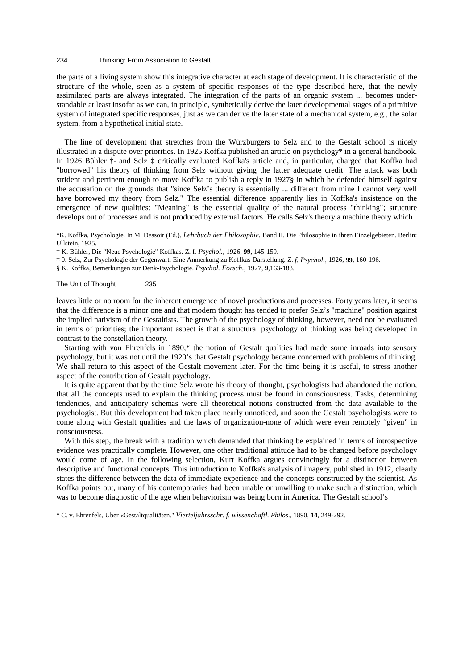## 234 Thinking: From Association to Gestalt

the parts of a living system show this integrative character at each stage of development. It is characteristic of the structure of the whole, seen as a system of specific responses of the type described here, that the newly assimilated parts are always integrated. The integration of the parts of an organic system ... becomes understandable at least insofar as we can, in principle, synthetically derive the later developmental stages of a primitive system of integrated specific responses, just as we can derive the later state of a mechanical system, e.g., the solar system, from a hypothetical initial state.

The line of development that stretches from the Würzburgers to Selz and to the Gestalt school is nicely illustrated in a dispute over priorities. In 1925 Koffka published an article on psychology\* in a general handbook. In 1926 Bühler †- and Selz ‡ critically evaluated Koffka's article and, in particular, charged that Koffka had "borrowed" his theory of thinking from Selz without giving the latter adequate credit. The attack was both strident and pertinent enough to move Koffka to publish a reply in 1927§ in which he defended himself against the accusation on the grounds that "since Selz's theory is essentially ... different from mine I cannot very well have borrowed my theory from Selz." The essential difference apparently lies in Koffka's insistence on the emergence of new qualities: "Meaning" is the essential quality of the natural process "thinking"; structure develops out of processes and is not produced by external factors. He calls Selz's theory a machine theory which

\*K. Koffka, Psychologie. In M. Dessoir (Ed.), *Lehrbuch der Philosophie.* Band II. Die Philosophie in ihren Einzelgebieten. Berlin: Ullstein, 1925.

† K. Bühler, Die "Neue Psychologie" Koffkas. Z. f*. Psychol.,* 1926, **99**, 145-159.

‡ 0. Selz, Zur Psychologie der Gegenwart. Eine Anmerkung zu Koffkas Darstellung. Z. *f. Psychol.,* 1926, **99**, 160-196.

§ K. Koffka, Bemerkungen zur Denk-Psychologie. *Psychol. Forsch.,* 1927, **9**,163-183.

## The Unit of Thought 235

leaves little or no room for the inherent emergence of novel productions and processes. Forty years later, it seems that the difference is a minor one and that modern thought has tended to prefer Selz's "machine" position against the implied nativism of the Gestaltists. The growth of the psychology of thinking, however, need not be evaluated in terms of priorities; the important aspect is that a structural psychology of thinking was being developed in contrast to the constellation theory.

Starting with von Ehrenfels in 1890,\* the notion of Gestalt qualities had made some inroads into sensory psychology, but it was not until the 1920's that Gestalt psychology became concerned with problems of thinking. We shall return to this aspect of the Gestalt movement later. For the time being it is useful, to stress another aspect of the contribution of Gestalt psychology.

It is quite apparent that by the time Selz wrote his theory of thought, psychologists had abandoned the notion, that all the concepts used to explain the thinking process must be found in consciousness. Tasks, determining tendencies, and anticipatory schemas were all theoretical notions constructed from the data available to the psychologist. But this development had taken place nearly unnoticed, and soon the Gestalt psychologists were to come along with Gestalt qualities and the laws of organization-none of which were even remotely "given" in consciousness.

With this step, the break with a tradition which demanded that thinking be explained in terms of introspective evidence was practically complete. However, one other traditional attitude had to be changed before psychology would come of age. In the following selection, Kurt Koffka argues convincingly for a distinction between descriptive and functional concepts. This introduction to Koffka's analysis of imagery, published in 1912, clearly states the difference between the data of immediate experience and the concepts constructed by the scientist. As Koffka points out, many of his contemporaries had been unable or unwilling to make such a distinction, which was to become diagnostic of the age when behaviorism was being born in America. The Gestalt school's

\* C. v. Ehrenfels, Über «Gestaltqualitäten." *Vierteljahrsschr. f. wissenchaftl. Philos*., 1890, **14**, 249-292.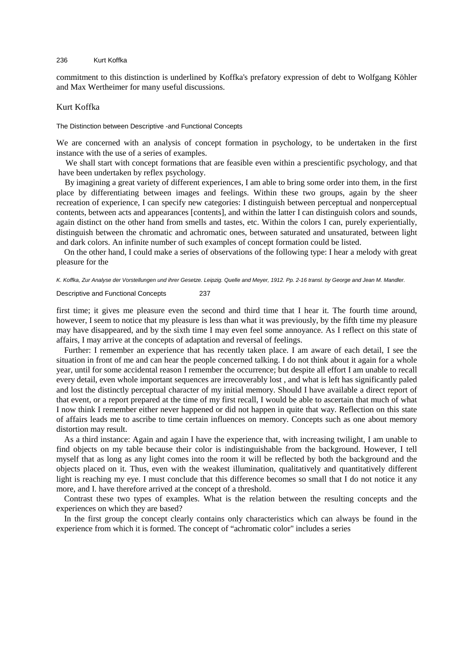commitment to this distinction is underlined by Koffka's prefatory expression of debt to Wolfgang Köhler and Max Wertheimer for many useful discussions.

## Kurt Koffka

## The Distinction between Descriptive -and Functional Concepts

We are concerned with an analysis of concept formation in psychology, to be undertaken in the first instance with the use of a series of examples.

We shall start with concept formations that are feasible even within a prescientific psychology, and that have been undertaken by reflex psychology.

By imagining a great variety of different experiences, I am able to bring some order into them, in the first place by differentiating between images and feelings. Within these two groups, again by the sheer recreation of experience, I can specify new categories: I distinguish between perceptual and nonperceptual contents, between acts and appearances [contents], and within the latter I can distinguish colors and sounds, again distinct on the other hand from smells and tastes, etc. Within the colors I can, purely experientially, distinguish between the chromatic and achromatic ones, between saturated and unsaturated, between light and dark colors. An infinite number of such examples of concept formation could be listed.

On the other hand, I could make a series of observations of the following type: I hear a melody with great pleasure for the

*K. Koffka, Zur Analyse der Vorstellungen und ihrer Gesetze. Leipzig. Quelle and Meyer, 1912. Pp. 2-16 transl. by George and Jean M. Mandler.*

#### Descriptive and Functional Concepts 237

first time; it gives me pleasure even the second and third time that I hear it. The fourth time around, however, I seem to notice that my pleasure is less than what it was previously, by the fifth time my pleasure may have disappeared, and by the sixth time I may even feel some annoyance. As I reflect on this state of affairs, I may arrive at the concepts of adaptation and reversal of feelings.

Further: I remember an experience that has recently taken place. I am aware of each detail, I see the situation in front of me and can hear the people concerned talking. I do not think about it again for a whole year, until for some accidental reason I remember the occurrence; but despite all effort I am unable to recall every detail, even whole important sequences are irrecoverably lost , and what is left has significantly paled and lost the distinctly perceptual character of my initial memory. Should I have available a direct report of that event, or a report prepared at the time of my first recall, I would be able to ascertain that much of what I now think I remember either never happened or did not happen in quite that way. Reflection on this state of affairs leads me to ascribe to time certain influences on memory. Concepts such as one about memory distortion may result.

As a third instance: Again and again I have the experience that, with increasing twilight, I am unable to find objects on my table because their color is indistinguishable from the background. However, I tell myself that as long as any light comes into the room it will be reflected by both the background and the objects placed on it. Thus, even with the weakest illumination, qualitatively and quantitatively different light is reaching my eye. I must conclude that this difference becomes so small that I do not notice it any more, and I. have therefore arrived at the concept of a threshold.

Contrast these two types of examples. What is the relation between the resulting concepts and the experiences on which they are based?

In the first group the concept clearly contains only characteristics which can always be found in the experience from which it is formed. The concept of "achromatic color" includes a series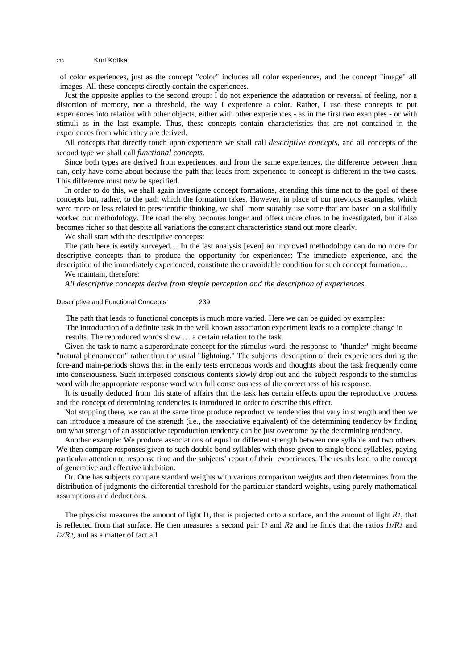of color experiences, just as the concept "color" includes all color experiences, and the concept "image" all images. All these concepts directly contain the experiences.

Just the opposite applies to the second group: I do not experience the adaptation or reversal of feeling, nor a distortion of memory, nor a threshold, the way I experience a color. Rather, I use these concepts to put experiences into relation with other objects, either with other experiences - as in the first two examples - or with stimuli as in the last example. Thus, these concepts contain characteristics that are not contained in the experiences from which they are derived.

All concepts that directly touch upon experience we shall call *descriptive concepts,* and all concepts of the second type we shall call *functional concepts.*

Since both types are derived from experiences, and from the same experiences, the difference between them can, only have come about because the path that leads from experience to concept is different in the two cases. This difference must now be specified.

In order to do this, we shall again investigate concept formations, attending this time not to the goal of these concepts but, rather, to the path which the formation takes. However, in place of our previous examples, which were more or less related to prescientific thinking, we shall more suitably use some that are based on a skillfully worked out methodology. The road thereby becomes longer and offers more clues to be investigated, but it also becomes richer so that despite all variations the constant characteristics stand out more clearly.

We shall start with the descriptive concepts:

The path here is easily surveyed.... In the last analysis [even] an improved methodology can do no more for descriptive concepts than to produce the opportunity for experiences: The immediate experience, and the description of the immediately experienced, constitute the unavoidable condition for such concept formation…

We maintain, therefore:

*All descriptive concepts derive from simple perception and the description of experiences.*

Descriptive and Functional Concepts 239

The path that leads to functional concepts is much more varied. Here we can be guided by examples:

The introduction of a definite task in the well known association experiment leads to a complete change in results. The reproduced words show ... a certain relation to the task.

Given the task to name a superordinate concept for the stimulus word, the response to "thunder" might become "natural phenomenon" rather than the usual "lightning." The subjects' description of their experiences during the fore-and main-periods shows that in the early tests erroneous words and thoughts about the task frequently come into consciousness. Such interposed conscious contents slowly drop out and the subject responds to the stimulus word with the appropriate response word with full consciousness of the correctness of his response.

It is usually deduced from this state of affairs that the task has certain effects upon the reproductive process and the concept of determining tendencies is introduced in order to describe this effect.

Not stopping there, we can at the same time produce reproductive tendencies that vary in strength and then we can introduce a measure of the strength (i.e., the associative equivalent) of the determining tendency by finding out what strength of an associative reproduction tendency can be just overcome by the determining tendency.

Another example: We produce associations of equal or different strength between one syllable and two others. We then compare responses given to such double bond syllables with those given to single bond syllables, paying particular attention to response time and the subjects' report of their experiences. The results lead to the concept of generative and effective inhibition.

Or. One has subjects compare standard weights with various comparison weights and then determines from the distribution of judgments the differential threshold for the particular standard weights, using purely mathematical assumptions and deductions.

The physicist measures the amount of light I1, that is projected onto a surface, and the amount of light *R1,* that is reflected from that surface. He then measures a second pair I2 and *R2* and he finds that the ratios *I1/R1* and *I2/R2,* and as a matter of fact all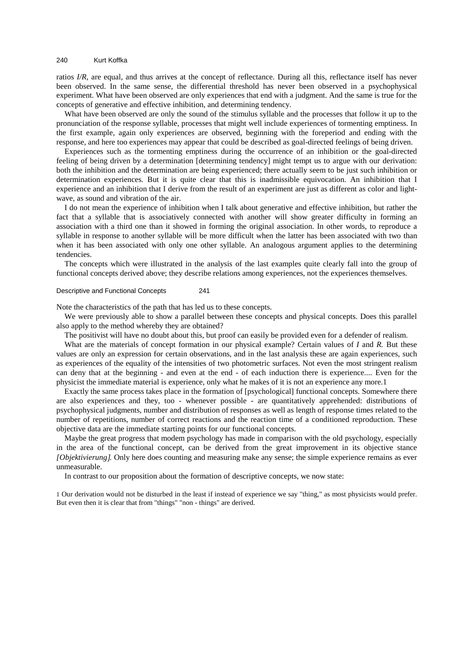ratios *I/R*, are equal, and thus arrives at the concept of reflectance. During all this, reflectance itself has never been observed. In the same sense, the differential threshold has never been observed in a psychophysical experiment. What have been observed are only experiences that end with a judgment. And the same is true for the concepts of generative and effective inhibition, and determining tendency.

What have been observed are only the sound of the stimulus syllable and the processes that follow it up to the pronunciation of the response syllable, processes that might well include experiences of tormenting emptiness. In the first example, again only experiences are observed, beginning with the foreperiod and ending with the response, and here too experiences may appear that could be described as goal-directed feelings of being driven.

Experiences such as the tormenting emptiness during the occurrence of an inhibition or the goal-directed feeling of being driven by a determination [determining tendency] might tempt us to argue with our derivation: both the inhibition and the determination are being experienced; there actually seem to be just such inhibition or determination experiences. But it is quite clear that this is inadmissible equivocation. An inhibition that I experience and an inhibition that I derive from the result of an experiment are just as different as color and lightwave, as sound and vibration of the air.

I do not mean the experience of inhibition when I talk about generative and effective inhibition, but rather the fact that a syllable that is associatively connected with another will show greater difficulty in forming an association with a third one than it showed in forming the original association. In other words, to reproduce a syllable in response to another syllable will be more difficult when the latter has been associated with two than when it has been associated with only one other syllable. An analogous argument applies to the determining tendencies.

The concepts which were illustrated in the analysis of the last examples quite clearly fall into the group of functional concepts derived above; they describe relations among experiences, not the experiences themselves.

## Descriptive and Functional Concepts 241

Note the characteristics of the path that has led us to these concepts.

We were previously able to show a parallel between these concepts and physical concepts. Does this parallel also apply to the method whereby they are obtained?

The positivist will have no doubt about this, but proof can easily be provided even for a defender of realism.

What are the materials of concept formation in our physical example? Certain values of *I* and *R.* But these values are only an expression for certain observations, and in the last analysis these are again experiences, such as experiences of the equality of the intensities of two photometric surfaces. Not even the most stringent realism can deny that at the beginning - and even at the end - of each induction there is experience.... Even for the physicist the immediate material is experience, only what he makes of it is not an experience any more.1

Exactly the same process takes place in the formation of [psychological] functional concepts. Somewhere there are also experiences and they, too - whenever possible - are quantitatively apprehended: distributions of psychophysical judgments, number and distribution of responses as well as length of response times related to the number of repetitions, number of correct reactions and the reaction time of a conditioned reproduction. These objective data are the immediate starting points for our functional concepts.

Maybe the great progress that modem psychology has made in comparison with the old psychology, especially in the area of the functional concept, can be derived from the great improvement in its objective stance *[Objektivierung*]. Only here does counting and measuring make any sense; the simple experience remains as ever unmeasurable.

In contrast to our proposition about the formation of descriptive concepts, we now state:

1 Our derivation would not be disturbed in the least if instead of experience we say "thing," as most physicists would prefer. But even then it is clear that from "things" "non - things" are derived.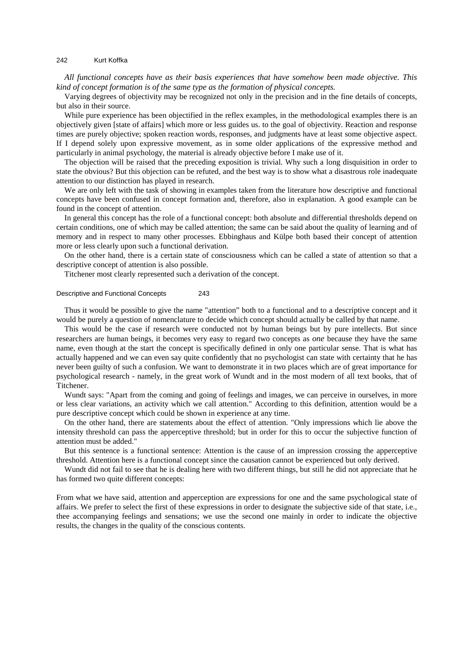*All functional concepts have as their basis experiences that have somehow been made objective. This kind of concept formation is of the same type as the formation of physical concepts.*

Varying degrees of objectivity may be recognized not only in the precision and in the fine details of concepts, but also in their source.

While pure experience has been objectified in the reflex examples, in the methodological examples there is an objectively given [state of affairs] which more or less guides us. to the goal of objectivity. Reaction and response times are purely objective; spoken reaction words, responses, and judgments have at least some objective aspect. If I depend solely upon expressive movement, as in some older applications of the expressive method and particularly in animal psychology, the material is already objective before I make use of it.

The objection will be raised that the preceding exposition is trivial. Why such a long disquisition in order to state the obvious? But this objection can be refuted, and the best way is to show what a disastrous role inadequate attention to our distinction has played in research.

We are only left with the task of showing in examples taken from the literature how descriptive and functional concepts have been confused in concept formation and, therefore, also in explanation. A good example can be found in the concept of attention.

In general this concept has the role of a functional concept: both absolute and differential thresholds depend on certain conditions, one of which may be called attention; the same can be said about the quality of learning and of memory and in respect to many other processes. Ebbinghaus and Külpe both based their concept of attention more or less clearly upon such a functional derivation.

On the other hand, there is a certain state of consciousness which can be called a state of attention so that a descriptive concept of attention is also possible.

Titchener most clearly represented such a derivation of the concept.

## Descriptive and Functional Concepts 243

Thus it would be possible to give the name "attention" both to a functional and to a descriptive concept and it would be purely a question of nomenclature to decide which concept should actually be called by that name.

This would be the case if research were conducted not by human beings but by pure intellects. But since researchers are human beings, it becomes very easy to regard two concepts as *one* because they have the same name, even though at the start the concept is specifically defined in only one particular sense. That is what has actually happened and we can even say quite confidently that no psychologist can state with certainty that he has never been guilty of such a confusion. We want to demonstrate it in two places which are of great importance for psychological research - namely, in the great work of Wundt and in the most modern of all text books, that of Titchener.

Wundt says: "Apart from the coming and going of feelings and images, we can perceive in ourselves, in more or less clear variations, an activity which we call attention." According to this definition, attention would be a pure descriptive concept which could be shown in experience at any time.

On the other hand, there are statements about the effect of attention. "Only impressions which lie above the intensity threshold can pass the apperceptive threshold; but in order for this to occur the subjective function of attention must be added."

But this sentence is a functional sentence: Attention is the cause of an impression crossing the apperceptive threshold. Attention here is a functional concept since the causation cannot be experienced but only derived.

Wundt did not fail to see that he is dealing here with two different things, but still he did not appreciate that he has formed two quite different concepts:

From what we have said, attention and apperception are expressions for one and the same psychological state of affairs. We prefer to select the first of these expressions in order to designate the subjective side of that state, i.e., thee accompanying feelings and sensations; we use the second one mainly in order to indicate the objective results, the changes in the quality of the conscious contents.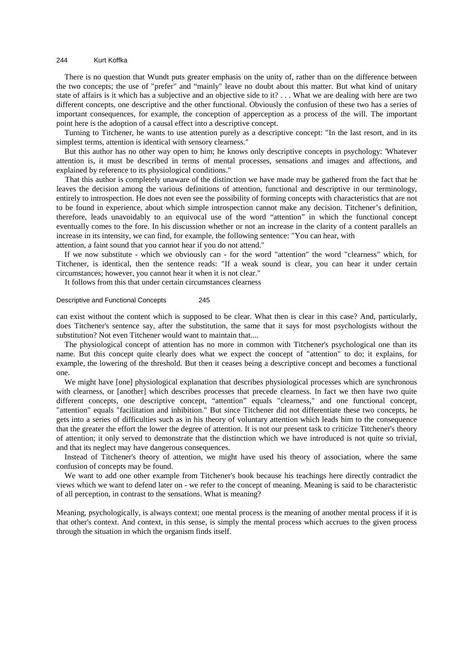There is no question that Wundt puts greater emphasis on the unity of, rather than on the difference between the two concepts; the use of "prefer" and "mainly" leave no doubt about this matter. But what kind of unitary state of affairs is it which has a subjective and an objective side to it? . . . What we are dealing with here are two different concepts, one descriptive and the other functional. Obviously the confusion of these two has a series of important consequences, for example, the conception of apperception as a process of the will. The important point here is the adoption of a causal effect into a descriptive concept.

Turning to Titchener, he wants to use attention purely as a descriptive concept: "In the last resort, and in its simplest terms, attention is identical with sensory clearness."

But this author has no other way open to him; he knows only descriptive concepts in psychology: 'Whatever attention is, it must be described in terms of mental processes, sensations and images and affections, and explained by reference to its physiological conditions."

That this author is completely unaware of the distinction we have made may be gathered from the fact that he leaves the decision among the various definitions of attention, functional and descriptive in our terminology, entirely to introspection. He does not even see the possibility of forming concepts with characteristics that are not to be found in experience, about which simple introspection cannot make any decision. Titchener's definition, therefore, leads unavoidably to an equivocal use of the word "attention" in which the functional concept eventually comes to the fore. In his discussion whether or not an increase in the clarity of a content parallels an increase in its intensity, we can find, for example, the following sentence: "You can hear, with attention, a faint sound that you cannot hear if you do not attend."

If we now substitute - which we obviously can - for the word "attention" the word "clearness" which, for Titchener, is identical, then the sentence reads: "If a weak sound is clear, you can hear it under certain circumstances; however, you cannot hear it when it is not clear."

It follows from this that under certain circumstances clearness

## Descriptive and Functional Concepts 245

can exist without the content which is supposed to be clear. What then is clear in this case? And, particularly, does Titchener's sentence say, after the substitution, the same that it says for most psychologists without the substitution? Not even Titchener would want to maintain that....

The physiological concept of attention has no more in common with Titchener's psychological one than its name. But this concept quite clearly does what we expect the concept of "attention" to do; it explains, for example, the lowering of the threshold. But then it ceases being a descriptive concept and becomes a functional one.

We might have [one] physiological explanation that describes physiological processes which are synchronous with clearness, or [another] which describes processes that precede clearness. In fact we then have two quite different concepts, one descriptive concept, "attention" equals "clearness," and one functional concept, "attention" equals "facilitation and inhibition." But since Titchener did not differentiate these two concepts, he gets into a series of difficulties such as in his theory of voluntary attention which leads him to the consequence that the greater the effort the lower the degree of attention. It is not our present task to criticize Titchener's theory of attention; it only served to demonstrate that the distinction which we have introduced is not quite so trivial, and that its neglect may have dangerous consequences.

Instead of Titchener's theory of attention, we might have used his theory of association, where the same confusion of concepts may be found.

We want to add one other example from Titchener's book because his teachings here directly contradict the views which we want to defend later on - we refer to the concept of meaning. Meaning is said to be characteristic of all perception, in contrast to the sensations. What is meaning?

Meaning, psychologically, is always context; one mental process is the meaning of another mental process if it is that other's context. And context, in this sense, is simply the mental process which accrues to the given process through the situation in which the organism finds itself.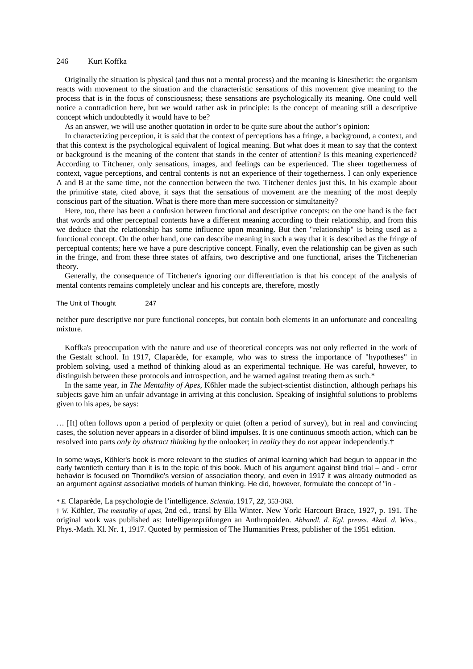Originally the situation is physical (and thus not a mental process) and the meaning is kinesthetic: the organism reacts with movement to the situation and the characteristic sensations of this movement give meaning to the process that is in the focus of consciousness; these sensations are psychologically its meaning. One could well notice a contradiction here, but we would rather ask in principle: Is the concept of meaning still a descriptive concept which undoubtedly it would have to be?

As an answer, we will use another quotation in order to be quite sure about the author's opinion:

In characterizing perception, it is said that the context of perceptions has a fringe, a background, a context, and that this context is the psychological equivalent of logical meaning. But what does it mean to say that the context or background is the meaning of the content that stands in the center of attention? Is this meaning experienced? According to Titchener, only sensations, images, and feelings can be experienced. The sheer togetherness of context, vague perceptions, and central contents is not an experience of their togetherness. I can only experience A and B at the same time, not the connection between the two. Titchener denies just this. In his example about the primitive state, cited above, it says that the sensations of movement are the meaning of the most deeply conscious part of the situation. What is there more than mere succession or simultaneity?

Here, too, there has been a confusion between functional and descriptive concepts: on the one hand is the fact that words and other perceptual contents have a different meaning according to their relationship, and from this we deduce that the relationship has some influence upon meaning. But then "relationship" is being used as a functional concept. On the other hand, one can describe meaning in such a way that it is described as the fringe of perceptual contents; here we have a pure descriptive concept. Finally, even the relationship can be given as such in the fringe, and from these three states of affairs, two descriptive and one functional, arises the Titchenerian theory.

Generally, the consequence of Titchener's ignoring our differentiation is that his concept of the analysis of mental contents remains completely unclear and his concepts are, therefore, mostly

## The Unit of Thought 247

neither pure descriptive nor pure functional concepts, but contain both elements in an unfortunate and concealing mixture.

Koffka's preoccupation with the nature and use of theoretical concepts was not only reflected in the work of the Gestalt school. In 1917, Claparède, for example, who was to stress the importance of "hypotheses" in problem solving, used a method of thinking aloud as an experimental technique. He was careful, however, to distinguish between these protocols and introspection, and he warned against treating them as such.\*

In the same year, in *The Mentality of Apes,* K6hler made the subject-scientist distinction, although perhaps his subjects gave him an unfair advantage in arriving at this conclusion. Speaking of insightful solutions to problems given to his apes, be says:

... [It] often follows upon a period of perplexity or quiet (often a period of survey), but in real and convincing cases, the solution never appears in a disorder of blind impulses. It is one continuous smooth action, which can be resolved into parts *only by abstract thinking by* the onlooker; in *reality* they do *not* appear independently.†

In some ways, Köhler's book is more relevant to the studies of animal learning which had begun to appear in the early twentieth century than it is to the topic of this book. Much of his argument against blind trial – and - error behavior is focused on Thorndike's version of association theory, and even in 1917 it was already outmoded as an argument against associative models of human thinking. He did, however, formulate the concept of "in -

#### *\* E.* Claparède, La psychologie de l'intelligence. *Scientia,* 1917, *22*, 353-368*.*

† *W.* Köhler, *The mentality of apes,* 2nd ed., transl by Ella Winter. New York: Harcourt Brace, 1927, p. 191. The original work was published as: Intelligenzprüfungen an Anthropoiden. *Abhandl. d. Kgl. preuss. Akad. d. Wiss.,* Phys.-Math. Kl*.* Nr. 1, 1917. Quoted by permission of The Humanities Press, publisher of the 1951 edition.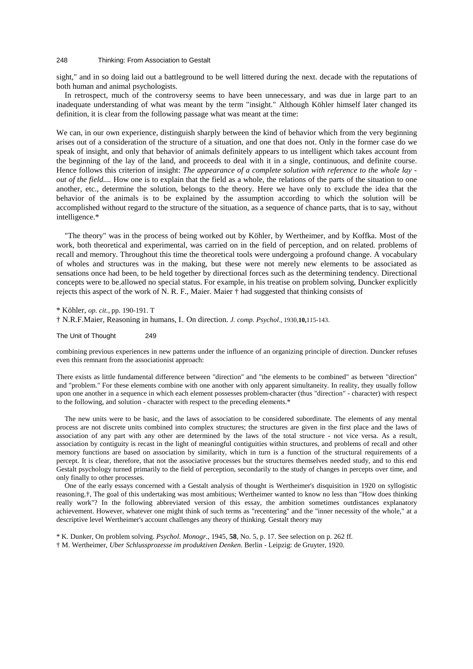## 248 Thinking: From Association to Gestalt

sight," and in so doing laid out a battleground to be well littered during the next. decade with the reputations of both human and animal psychologists.

In retrospect, much of the controversy seems to have been unnecessary, and was due in large part to an inadequate understanding of what was meant by the term "insight." Although Köhler himself later changed its definition, it is clear from the following passage what was meant at the time:

We can, in our own experience, distinguish sharply between the kind of behavior which from the very beginning arises out of a consideration of the structure of a situation, and one that does not. Only in the former case do we speak of insight, and only that behavior of animals definitely appears to us intelligent which takes account from the beginning of the lay of the land, and proceeds to deal with it in a single, continuous, and definite course. Hence follows this criterion of insight: *The appearance of a complete solution with reference to the whole lay out of the field....* How one is to explain that the field as a whole, the relations of the parts of the situation to one another, etc., determine the solution, belongs to the theory. Here we have only to exclude the idea that the behavior of the animals is to be explained by the assumption according to which the solution will be accomplished without regard to the structure of the situation, as a sequence of chance parts, that is to say, without intelligence.\*

"The theory" was in the process of being worked out by Köhler, by Wertheimer, and by Koffka. Most of the work, both theoretical and experimental, was carried on in the field of perception, and on related. problems of recall and memory. Throughout this time the theoretical tools were undergoing a profound change. A vocabulary of wholes and structures was in the making, but these were not merely new elements to be associated as sensations once had been, to be held together by directional forces such as the determining tendency. Directional concepts were to be.allowed no special status. For example, in his treatise on problem solving, Duncker explicitly rejects this aspect of the work of N. R. F., Maier. Maier † had suggested that thinking consists of

\* Köhler, *op. cit.,* pp. 190-191. T

† N.R.F.Maier, Reasoning in humans, I.. On direction. *J. comp. Psychol*., 1930,**10,**115-143.

The Unit of Thought 249

combining previous experiences in new patterns under the influence of an organizing principle of direction. Duncker refuses even this remnant from the associationist approach:

There exists as little fundamental difference between "direction" and "the elements to be combined" as between "direction" and "problem." For these elements combine with one another with only apparent simultaneity. In reality, they usually follow upon one another in a sequence in which each element possesses problem-character (thus "direction" - character) with respect to the following, and solution - character with respect to the preceding elements.\*

The new units were to be basic, and the laws of association to be considered subordinate. The elements of any mental process are not discrete units combined into complex structures; the structures are given in the first place and the laws of association of any part with any other are determined by the laws of the total structure - not vice versa. As a result, association by contiguity is recast in the light of meaningful contiguities within structures, and problems of recall and other memory functions are based on association by similarity, which in turn is a function of the structural requirements of a percept. It is clear, therefore, that not the associative processes but the structures themselves needed study, and to this end Gestalt psychology turned primarily to the field of perception, secondarily to the study of changes in percepts over time, and only finally to other processes.

One of the early essays concerned with a Gestalt analysis of thought is Wertheimer's disquisition in 1920 on syllogistic reasoning.†, The goal of this undertaking was most ambitious; Wertheimer wanted to know no less than "How does thinking really work"? In the following abbreviated version of this essay, the ambition sometimes outdistances explanatory achievement. However, whatever one might think of such terms as "recentering" and the "inner necessity of the whole," at a descriptive level Wertheimer's account challenges any theory of thinking. Gestalt theory may

\* K. Dunker, On problem solving. *Psychol. Monogr.,* 1945, **58**, No. 5, p. 17. See selection on p. 262 ff.

† M. Wertheimer, *Uber Schlussprozesse im produktiven Denken.* Berlin - Leipzig: de Gruyter, 1920.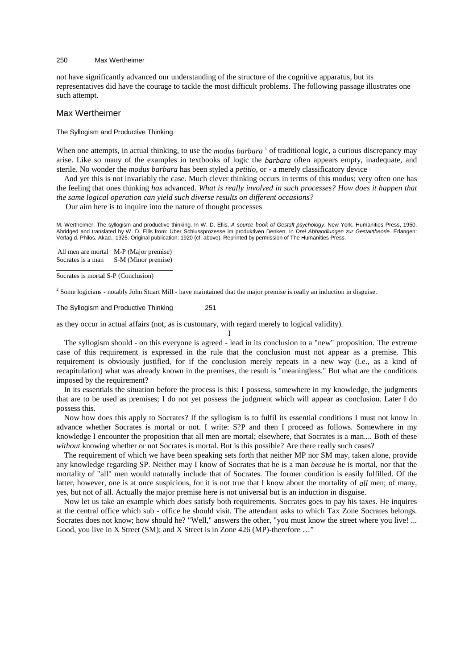not have significantly advanced our understanding of the structure of the cognitive apparatus, but its representatives did have the courage to tackle the most difficult problems. The following passage illustrates one such attempt.

## Max Wertheimer

The Syllogism and Productive Thinking

When one attempts, in actual thinking, to use the *modus barbara*<sup>1</sup> of traditional logic, a curious discrepancy may arise. Like so many of the examples in textbooks of logic the *barbara* often appears empty, inadequate, and sterile. No wonder the *modus barbara* has been styled a *petitio*, or - a merely classificatory device <sup>2</sup>

And yet this is not invariably the case. Much clever thinking occurs in terms of this modus; very often one has the feeling that ones thinking *has* advanced. *What is really involved in such processes? How does it happen that the same logical operation can yield such diverse results on different occasions?*

Our aim here is to inquire into the nature of thought processes

M. Wertheimer, The syllogism and productive thinking. In W. D. Ellis, *A source book of Gestalt psychology*. New York. Humanities Press, 1950. Abridged and translated by W. D. Ellis from: Über Schlussprozesse im produktiven Denken. In *Drei Abhandlungen zur Gestalttheorie*. Erlangen: Verlag d. Philos. Akad., 1925. Original publication: 1920 (cf. above). Reprinted by permission of The Humanities Press.

' All men are mortal M-P (Major premise) Socrates is a man S-M (Minor premise) \_\_\_\_\_\_\_\_\_\_\_\_\_\_\_\_\_\_\_\_\_\_\_\_\_\_\_\_\_\_\_\_\_\_

Socrates is mortal S-P (Conclusion)

<sup>2</sup> Some logicians - notably John Stuart Mill - have maintained that the major premise is really an induction in disguise.

The Syllogism and Productive Thinking 251

as they occur in actual affairs (not, as is customary, with regard merely to logical validity).

The syllogism should - on this everyone is agreed - lead in its conclusion to a "new" proposition. The extreme case of this requirement is expressed in the rule that the conclusion must not appear as a premise. This requirement is obviously justified, for if the conclusion merely repeats in a new way (i.e., as a kind of recapitulation) what was already known in the premises, the result is "meaningless." But what are the conditions imposed by the requirement?

I

In its essentials the situation before the process is this: I possess, somewhere in my knowledge, the judgments that are to be used as premises; I do not yet possess the judgment which will appear as conclusion. Later I do possess this.

Now how does this apply to Socrates? If the syllogism is to fulfil its essential conditions I must not know in advance whether Socrates is mortal or not. I write: S?P and then I proceed as follows. Somewhere in my knowledge I encounter the proposition that all men are mortal; elsewhere, that Socrates is a man.... Both of these *without* knowing whether or not Socrates is mortal. But is this possible? Are there really such cases?

The requirement of which we have been speaking sets forth that neither MP nor SM may, taken alone, provide any knowledge regarding SP. Neither may I know of Socrates that he is a man *because* he is mortal, nor that the mortality of "all" men would naturally include that of Socrates. The former condition is easily fulfilled. Of the latter, however, one is at once suspicious, for it is not true that I know about the mortality of *all* men; of many, yes, but not of all. Actually the major premise here is not universal but is an induction in disguise.

Now let us take an example which *does* satisfy both requirements. Socrates goes to pay his taxes. He inquires at the central office which sub - office he should visit. The attendant asks to which Tax Zone Socrates belongs. Socrates does not know; how should he? "Well," answers the other, "you must know the street where you live! ... Good, you live in X Street (SM); and X Street is in Zone 426 (MP)-therefore …"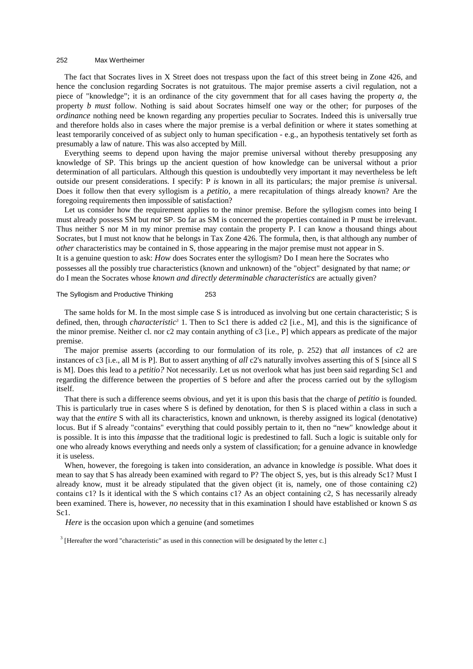The fact that Socrates lives in X Street does not trespass upon the fact of this street being in Zone 426, and hence the conclusion regarding Socrates is not gratuitous. The major premise asserts a civil regulation, not a piece of "knowledge"; it is an ordinance of the city government that for all cases having the property *a,* the property *b must* follow. Nothing is said about Socrates himself one way or the other; for purposes of the *ordinance* nothing need be known regarding any properties peculiar to Socrates. Indeed this is universally true and therefore holds also in cases where the major premise is a verbal definition or where it states something at least temporarily conceived of as subject only to human specification - e.g., an hypothesis tentatively set forth as presumably a law of nature. This was also accepted by Mill.

Everything seems to depend upon having the major premise universal without thereby presupposing any knowledge of SP. This brings up the ancient question of how knowledge can be universal without a prior determination of all particulars. Although this question is undoubtedly very important it may nevertheless be left outside our present considerations. I specify: P *is* known in all its particulars; the major premise *is* universal. Does it follow then that every syllogism is a *petitio,* a mere recapitulation of things already known? Are the foregoing requirements then impossible of satisfaction?

Let us consider how the requirement applies to the minor premise. Before the syllogism comes into being I must already possess SM but *not* SP. So far as SM is concerned the properties contained in P must be irrelevant. Thus neither S nor M in my minor premise may contain the property P. I can know a thousand things about Socrates, but I must not know that he belongs in Tax Zone 426. The formula, then, is that although any number of *other* characteristics may be contained in S, those appearing in the major premise must not appear in S. It is a genuine question to ask: *How* does Socrates enter the syllogism? Do I mean here the Socrates who possesses all the possibly true characteristics (known and unknown) of the "object" designated by that name; *or* do I mean the Socrates whose *known and directly determinable characteristics* are actually given?

The Syllogism and Productive Thinking 253

The same holds for M. In the most simple case S is introduced as involving but one certain characteristic; S is defined, then, through *characteristic3* 1. Then to Sc1 there is added c2 [i.e., M], and this is the significance of the minor premise. Neither cl. nor c2 may contain anything of c3 [i.e., P] which appears as predicate of the major premise.

The major premise asserts (according to our formulation of its role, p. 252) that *all* instances of c2 are instances of c3 [i.e., all M is P]. But to assert anything of *all* c2's naturally involves asserting this of S [since all S is M]. Does this lead to a *petitio?* Not necessarily. Let us not overlook what has just been said regarding Sc1 and regarding the difference between the properties of S before and after the process carried out by the syllogism itself.

That there is such a difference seems obvious, and yet it is upon this basis that the charge of *petitio* is founded. This is particularly true in cases where S is defined by denotation, for then S is placed within a class in such a way that the *entire* S with all its characteristics, known and unknown, is thereby assigned its logical (denotative) locus. But if S already "contains" everything that could possibly pertain to it, then no "new" knowledge about it is possible. It is into this *impasse* that the traditional logic is predestined to fall. Such a logic is suitable only for one who already knows everything and needs only a system of classification; for a genuine advance in knowledge it is useless.

When, however, the foregoing is taken into consideration, an advance in knowledge *is* possible. What does it mean to say that S has already been examined with regard to P? The object S, yes, but is this already Sc1? Must I already know, must it be already stipulated that the given object (it is, namely, one of those containing c2) contains c1? Is it identical with the S which contains c1? As an object containing c2, S has necessarily already been examined. There is, however, *no* necessity that in this examination I should have established or known S *as* Sc1.

*Here* is the occasion upon which a genuine (and sometimes

 $3$  [Hereafter the word "characteristic" as used in this connection will be designated by the letter c.]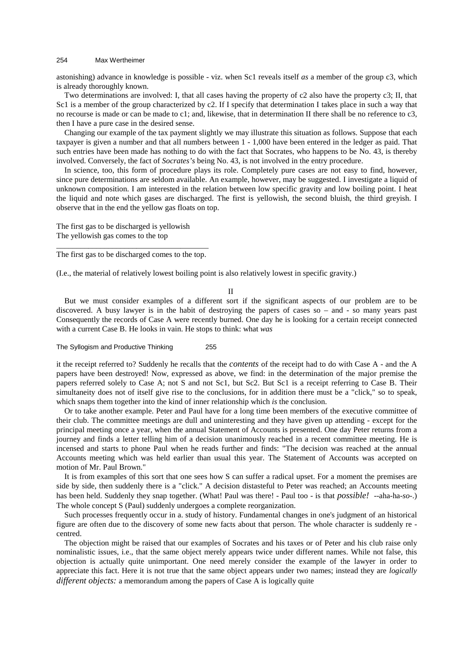astonishing) advance in knowledge is possible - viz. when Sc1 reveals itself *as* a member of the group c3, which is already thoroughly known.

Two determinations are involved: I, that all cases having the property of c2 also have the property c3; II, that Sc1 is a member of the group characterized by c2. If I specify that determination I takes place in such a way that no recourse is made or can be made to c1; and, likewise, that in determination II there shall be no reference to c3, then I have a pure case in the desired sense.

Changing our example of the tax payment slightly we may illustrate this situation as follows. Suppose that each taxpayer is given a number and that all numbers between 1 - 1,000 have been entered in the ledger as paid. That such entries have been made has nothing to do with the fact that Socrates, who happens to be No. 43, is thereby involved. Conversely, the fact of *Socrates's* being No. 43, is not involved in the entry procedure.

In science, too, this form of procedure plays its role. Completely pure cases are not easy to find, however, since pure determinations are seldom available. An example, however, may be suggested. I investigate a liquid of unknown composition. I am interested in the relation between low specific gravity and low boiling point. I heat the liquid and note which gases are discharged. The first is yellowish, the second bluish, the third greyish. I observe that in the end the yellow gas floats on top.

The first gas to be discharged is yellowish The yellowish gas comes to the top

\_\_\_\_\_\_\_\_\_\_\_\_\_\_\_\_\_\_\_\_\_\_\_\_\_\_\_\_\_\_\_\_\_\_\_\_\_\_ The first gas to be discharged comes to the top.

(I.e., the material of relatively lowest boiling point is also relatively lowest in specific gravity.)

II

But we must consider examples of a different sort if the significant aspects of our problem are to be discovered. A busy lawyer is in the habit of destroying the papers of cases so – and - so many years past Consequently the records of Case A were recently burned. One day he is looking for a certain receipt connected with a current Case B. He looks in vain. He stops to think: what *was*

The Syllogism and Productive Thinking 255

it the receipt referred to? Suddenly he recalls that the *contents* of the receipt had to do with Case A - and the A papers have been destroyed! Now, expressed as above, we find: in the determination of the major premise the papers referred solely to Case A; not S and not Sc1, but Sc2. But Sc1 is a receipt referring to Case B. Their simultaneity does not of itself give rise to the conclusions, for in addition there must be a "click," so to speak, which snaps them together into the kind of inner relationship which *is* the conclusion.

Or to take another example. Peter and Paul have for a long time been members of the executive committee of their club. The committee meetings are dull and uninteresting and they have given up attending - except for the principal meeting once a year, when the annual Statement of Accounts is presented. One day Peter returns from a journey and finds a letter telling him of a decision unanimously reached in a recent committee meeting. He is incensed and starts to phone Paul when he reads further and finds: "The decision was reached at the annual Accounts meeting which was held earlier than usual this year. The Statement of Accounts was accepted on motion of Mr. Paul Brown."

It is from examples of this sort that one sees how S can suffer a radical upset. For a moment the premises are side by side, then suddenly there is a "click." A decision distasteful to Peter was reached; an Accounts meeting has been held. Suddenly they snap together. (What! Paul was there! - Paul too - is that *possible!* --aha-ha-*so*-.) The whole concept S (Paul) suddenly undergoes a complete reorganization.

Such processes frequently occur in a. study of history. Fundamental changes in one's judgment of an historical figure are often due to the discovery of some new facts about that person. The whole character is suddenly re centred.

The objection might be raised that our examples of Socrates and his taxes or of Peter and his club raise only nominalistic issues, i.e., that the same object merely appears twice under different names. While not false, this objection is actually quite unimportant. One need merely consider the example of the lawyer in order to appreciate this fact. Here it is not true that the same object appears under two names; instead they are *logically different objects:* a memorandum among the papers of Case A is logically quite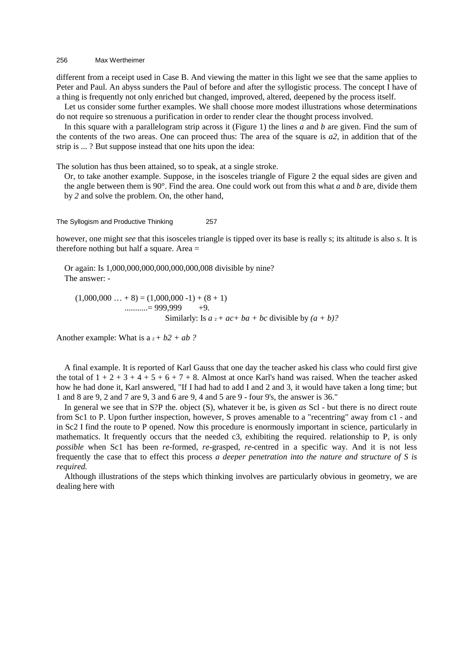different from a receipt used in Case B. And viewing the matter in this light we see that the same applies to Peter and Paul. An abyss sunders the Paul of before and after the syllogistic process. The concept I have of a thing is frequently not only enriched but changed, improved, altered, deepened by the process itself.

Let us consider some further examples. We shall choose more modest illustrations whose determinations do not require so strenuous a purification in order to render clear the thought process involved.

In this square with a parallelogram strip across it (Figure 1) the lines *a* and *b* are given. Find the sum of the contents of the two areas. One can proceed thus: The area of the square is *a2,* in addition that of the strip is ... ? But suppose instead that one hits upon the idea:

The solution has thus been attained, so to speak, at a single stroke.

Or, to take another example. Suppose, in the isosceles triangle of Figure 2 the equal sides are given and the angle between them is 90°. Find the area. One could work out from this what *a* and *b* are, divide them by *2* and solve the problem. On, the other hand,

The Syllogism and Productive Thinking 257

however, one might *see* that this isosceles triangle is tipped over its base is really s; its altitude is also *s*. It is therefore nothing but half a square. Area  $=$ 

Or again: Is 1,000,000,000,000,000,000,008 divisible by nine? The answer: -

 $(1,000,000... + 8) = (1,000,000 - 1) + (8 + 1)$  $\ldots$  .............= 999,999 +9. Similarly: Is  $a_2 + ac + ba + bc$  divisible by  $(a + b)$ ?

Another example: What is  $a_2 + b2 + ab$  ?

A final example. It is reported of Karl Gauss that one day the teacher asked his class who could first give the total of  $1 + 2 + 3 + 4 + 5 + 6 + 7 + 8$ . Almost at once Karl's hand was raised. When the teacher asked how he had done it, Karl answered, "If I had had to add I and 2 and 3, it would have taken a long time; but 1 and 8 are 9, 2 and 7 are 9, 3 and 6 are 9, 4 and 5 are 9 - four 9's, the answer is 36."

In general we see that in S?P the. object (S), whatever it be, is given *as* Scl - but there is no direct route from Sc1 to P. Upon further inspection, however, S proves amenable to a "recentring" away from c1 - and in Sc2 I find the route to P opened. Now this procedure is enormously important in science, particularly in mathematics. It frequently occurs that the needed c3, exhibiting the required. relationship to P, is only *possible* when Sc1 has been *re*-formed, *re*-grasped, *re*-centred in a specific way. And it is not less frequently the case that to effect this process *a deeper penetration into the nature and structure of S is required.*

Although illustrations of the steps which thinking involves are particularly obvious in geometry, we are dealing here with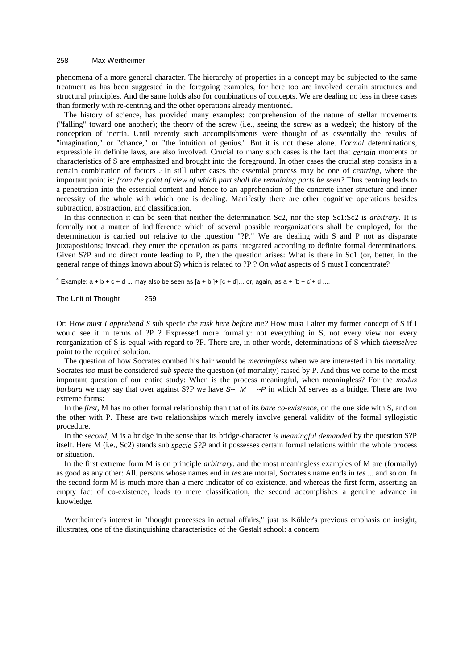phenomena of a more general character. The hierarchy of properties in a concept may be subjected to the same treatment as has been suggested in the foregoing examples, for here too are involved certain structures and structural principles. And the same holds also for combinations of concepts. We are dealing no less in these cases than formerly with re-centring and the other operations already mentioned.

The history of science, has provided many examples: comprehension of the nature of stellar movements ("falling" toward one another); the theory of the screw (i.e., seeing the screw as a wedge); the history of the conception of inertia. Until recently such accomplishments were thought of as essentially the results of "imagination," or "chance," or "the intuition of genius." But it is not these alone. *Formal* determinations, expressible in definite laws, are also involved. Crucial to many such cases is the fact that *certain* moments or characteristics of S are emphasized and brought into the foreground. In other cases the crucial step consists in a certain combination of factors .4 In still other cases the essential process may be one of *centring,* where the important point is: *from the point of view of which part shall the remaining parts be seen?* Thus centring leads to a penetration into the essential content and hence to an apprehension of the concrete inner structure and inner necessity of the whole with which one is dealing. Manifestly there are other cognitive operations besides subtraction, abstraction, and classification.

In this connection it can be seen that neither the determination Sc2, nor the step Sc1:Sc2 is *arbitrary.* It is formally not a matter of indifference which of several possible reorganizations shall be employed, for the determination is carried out relative to the .question "?P." We are dealing with S and P not as disparate juxtapositions; instead, they enter the operation as parts integrated according to definite formal determinations. Given S?P and no direct route leading to P, then the question arises: What is there in Sc1 (or, better, in the general range of things known about S) which is related to ?P ? On *what* aspects of S must I concentrate?

 $4$  Example:  $a + b + c + d$  ... may also be seen as  $[a + b] + [c + d]$ ... or, again, as  $a + [b + c] + d$  ....

The Unit of Thought 259

Or: How *must I apprehend S* sub specie *the task here before me?* How must I alter my former concept of S if I would see it in terms of ?P ? Expressed more formally: not everything in S, not every view nor every reorganization of S is equal with regard to ?P. There are, in other words, determinations of S which *themselves* point to the required solution.

The question of how Socrates combed his hair would be *meaningless* when we are interested in his mortality. Socrates *too* must be considered *sub specie* the question (of mortality) raised by P. And thus we come to the most important question of our entire study: When is the process meaningful, when meaningless? For the *modus barbara* we may say that over against S?P we have *S--, M \_\_--P* in which M serves as a bridge. There are two extreme forms:

In the *first,* M has no other formal relationship than that of its *bare co-existence,* on the one side with S, and on the other with P. These are two relationships which merely involve general validity of the formal syllogistic procedure.

In the *second,* M is a bridge in the sense that its bridge-character *is meaningful demanded* by the question S?P itself. Here M (i.e., Sc2) stands sub *specie S?P* and it possesses certain formal relations within the whole process or situation.

In the first extreme form M is on principle *arbitrary,* and the most meaningless examples of M are (formally) as good as any other: All. persons whose names end in *tes* are mortal, Socrates's name ends in *tes* ... and so on. In the second form M is much more than a mere indicator of co-existence, and whereas the first form, asserting an empty fact of co-existence, leads to mere classification, the second accomplishes a genuine advance in knowledge.

Wertheimer's interest in "thought processes in actual affairs," just as Köhler's previous emphasis on insight, illustrates, one of the distinguishing characteristics of the Gestalt school: a concern